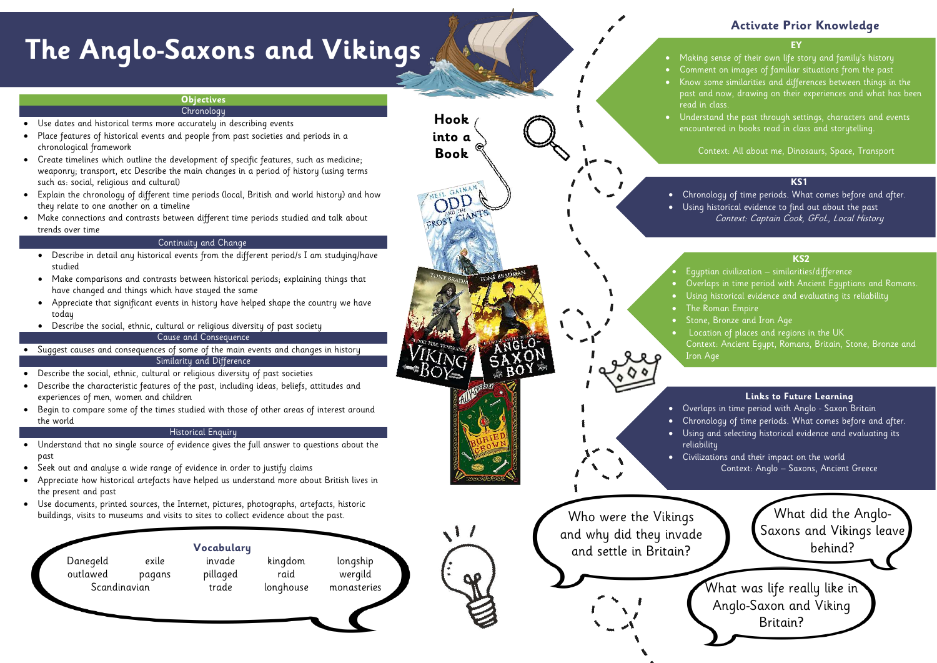• Making sense of their own life story and family's history • Comment on images of familiar situations from the past • Know some similarities and differences between things in the past and now, drawing on their experiences and what has been

• Understand the past through settings, characters and events encountered in books read in class and storytelling.

Context: All about me, Dinosaurs, Space, Transport

# **Activate Prior Knowledge**

#### **KS1**

- Overlaps in time period with Ancient Egyptians and Romans.
- Using historical evidence and evaluating its reliability<br>————————————————————
	-
- Stone, Bronze and Iron Age
- Location of places and regions in the UK  $\sim$ • Location of places and regions in the UK
	- Context: Ancient Egypt, Romans, Britain, Stone, Bronze and



• Chronology of time periods. What comes before and after. • Using historical evidence to find out about the past Context: Captain Cook, GFoL, Local History

> What did the Anglo-Saxons and Vikings leave behind?

#### **KS2**

- Use dates and historical terms more accurately in describing events
- Place features of historical events and people from past societies and periods in a chronological framework
- Create timelines which outline the development of specific features, such as medicine; weaponry; transport, etc Describe the main changes in a period of history (using terms such as: social, religious and cultural)
- Explain the chronology of different time periods (local, British and world history) and how they relate to one another on a timeline
- Make connections and contrasts between different time periods studied and talk about trends over time

• Egyptian civilization – similarities/difference

# **The Anglo-Saxons and Vikings**

#### **Objectives**

**Chronology** 

#### Continuity and Change

- Describe in detail any historical events from the different period/s I am studying/have studied
- Make comparisons and contrasts between historical periods; explaining things that have changed and things which have stayed the same
- Appreciate that significant events in history have helped shape the country we have today
- Describe the social, ethnic, cultural or religious diversity of past society

#### Cause and Consequence

- Suggest causes and consequences of some of the main events and changes in history Similarity and Difference
- Describe the social, ethnic, cultural or religious diversity of past societies
- Describe the characteristic features of the past, including ideas, beliefs, attitudes and experiences of men, women and children
- Begin to compare some of the times studied with those of other areas of interest around the world

### Historical Enquiry

- Understand that no single source of evidence gives the full answer to questions about the past
- Seek out and analyse a wide range of evidence in order to justify claims
- Appreciate how historical artefacts have helped us understand more about British lives in the present and past
- Use documents, printed sources, the Internet, pictures, photographs, artefacts, historic buildings, visits to museums and visits to sites to collect evidence about the past.



#### **Links to Future Learning**

• Overlaps in time period with Anglo - Saxon Britain • Chronology of time periods. What comes before and after. • Using and selecting historical evidence and evaluating its

• Civilizations and their impact on the world Context: Anglo – Saxons, Ancient Greece

> What was life really like in Anglo-Saxon and Viking Britain?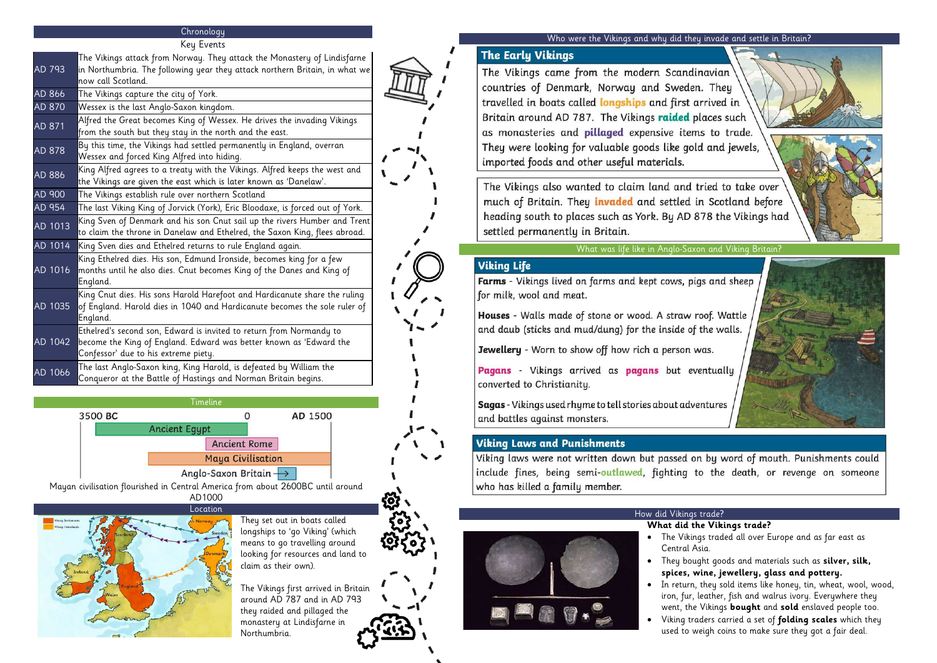# **Chronology**

Key Events

Timeline 3500 BC  $\overline{0}$ AD 1500 **Ancient Egypt Ancient Rome Maya Civilisation** Anglo-Saxon Britain  $\rightarrow$ 

| $req$ $r$ |                                                                                                                                                                                   |
|-----------|-----------------------------------------------------------------------------------------------------------------------------------------------------------------------------------|
| AD 793    | The Vikings attack from Norway. They attack the Monastery of Lindisfarne<br>in Northumbria. The following year they attack northern Britain, in what we<br>now call Scotland.     |
| AD 866    | The Vikings capture the city of York.                                                                                                                                             |
| AD 870    | Wessex is the last Anglo-Saxon kingdom.                                                                                                                                           |
| AD 871    | Alfred the Great becomes King of Wessex. He drives the invading Vikings<br>from the south but they stay in the north and the east.                                                |
| AD 878    | By this time, the Vikings had settled permanently in England, overran<br>Wessex and forced King Alfred into hiding.                                                               |
| AD 886    | King Alfred agrees to a treaty with the Vikings. Alfred keeps the west and<br>the Vikings are given the east which is later known as 'Danelaw'.                                   |
| AD 900    | The Vikings establish rule over northern Scotland                                                                                                                                 |
| AD 954    | The last Viking King of Jorvick (York), Eric Bloodaxe, is forced out of York.                                                                                                     |
| AD 1013   | King Sven of Denmark and his son Cnut sail up the rivers Humber and Trent<br>to claim the throne in Danelaw and Ethelred, the Saxon King, flees abroad.                           |
| AD 1014   | King Sven dies and Ethelred returns to rule England again.                                                                                                                        |
| AD 1016   | King Ethelred dies. His son, Edmund Ironside, becomes king for a few<br>months until he also dies. Cnut becomes King of the Danes and King of<br>England.                         |
| AD 1035   | King Cnut dies. His sons Harold Harefoot and Hardicanute share the ruling<br>of England. Harold dies in 1040 and Hardicanute becomes the sole ruler of<br>England.                |
| AD 1042   | Ethelred's second son, Edward is invited to return from Normandy to<br>become the King of England. Edward was better known as 'Edward the<br>Confessor' due to his extreme piety. |
| AD 1066   | The last Anglo-Saxon king, King Harold, is defeated by William the<br>Conqueror at the Battle of Hastings and Norman Britain begins.                                              |

Mayan civilisation flourished in Central America from about 2600BC until around AD1000



They set out in boats called longships to 'go Viking' (which means to go travelling around looking for resources and land to claim as their own).

The Vikings first arrived in Britain around AD 787 and in AD 793 they raided and pillaged the monastery at Lindisfarne in Northumbria.

#### Who were the Vikings and why did they invade and settle in Britain?

# **The Early Vikings**

The Vikings came from the modern Scandinavian countries of Denmark, Norway and Sweden. They travelled in boats called longships and first arrived in Britain around AD 787. The Vikings raided places such as monasteries and pillaged expensive items to trade. They were looking for valuable goods like gold and jewels, imported foods and other useful materials.

The Vikings also wanted to claim land and tried to take over much of Britain. They *invaded* and settled in Scotland before heading south to places such as York. By AD 878 the Vikings had settled permanently in Britain.

#### What was life like in Anglo-Saxon and Viking Britain?

# **Viking Life**

Farms - Vikings lived on farms and kept cows, pigs and sheep for milk, wool and meat.

Houses - Walls made of stone or wood. A straw roof. Wattle and daub (sticks and mud/dung) for the inside of the walls.

Jewellery - Worn to show off how rich a person was.

Pagans - Vikings arrived as pagans but eventually converted to Christianity.

Sagas - Vikings used rhyme to tell stories about adventures and battles against monsters.

# **Viking Laws and Punishments**

Viking laws were not written down but passed on by word of mouth. Punishments could include fines, being semi-outlawed, fighting to the death, or revenge on someone who has killed a family member.

### How did Vikings trade?

#### **What did the Vikings trade?**

• The Vikings traded all over Europe and as far east as

- 
- Central Asia.
- 
- 





• They bought goods and materials such as **silver, silk, spices, wine, jewellery, glass and pottery.**

• In return, they sold items like honey, tin, wheat, wool, wood, iron, fur, leather, fish and walrus ivory. Everywhere they went, the Vikings **bought** and **sold** enslaved people too. • Viking traders carried a set of **folding scales** which they used to weigh coins to make sure they got a fair deal.